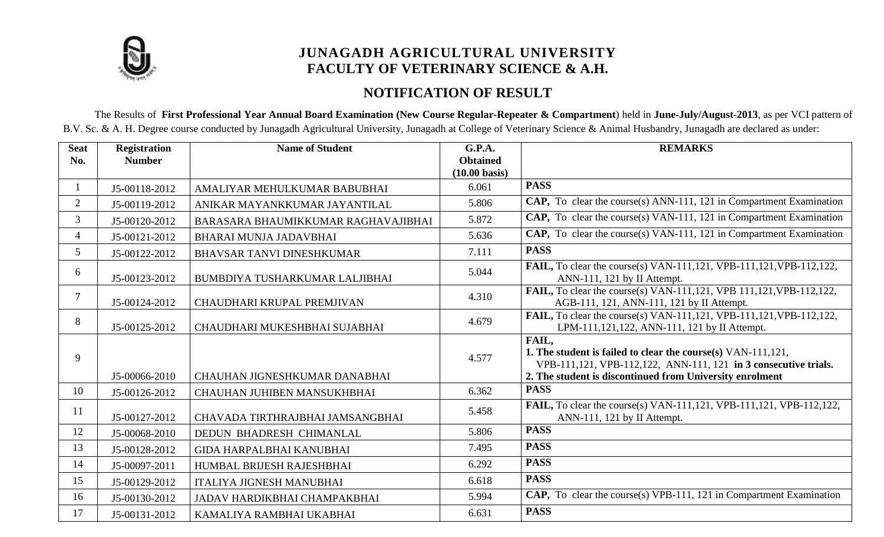

# **JUNAGADH AGRICULTURAL UNIVERSITY FACULTY OF VETERINARY SCIENCE & A.H.**

# **NOTIFICATION OF RESULT**

The Results of **First Professional Year Annual Board Examination (New Course Regular-Repeater & Compartment**) held in **June-July/August-2013**, as per VCI pattern of B.V. Sc. & A. H. Degree course conducted by Junagadh Agricultural University, Junagadh at College of Veterinary Science & Animal Husbandry, Junagadh are declared as under:

| <b>Seat</b><br>No. | <b>Registration</b><br><b>Number</b> | <b>Name of Student</b>              | G.P.A.<br><b>Obtained</b> | <b>REMARKS</b>                                                                                                                                                                                       |
|--------------------|--------------------------------------|-------------------------------------|---------------------------|------------------------------------------------------------------------------------------------------------------------------------------------------------------------------------------------------|
|                    |                                      |                                     | $(10.00 \text{ basis})$   |                                                                                                                                                                                                      |
| $\mathbf{1}$       | J5-00118-2012                        | AMALIYAR MEHULKUMAR BABUBHAI        | 6.061                     | <b>PASS</b>                                                                                                                                                                                          |
| $\overline{2}$     | J5-00119-2012                        | ANIKAR MAYANKKUMAR JAYANTILAL       | 5.806                     | CAP, To clear the course(s) ANN-111, 121 in Compartment Examination                                                                                                                                  |
| $\mathfrak{Z}$     | J5-00120-2012                        | BARASARA BHAUMIKKUMAR RAGHAVAJIBHAI | 5.872                     | CAP, To clear the course(s) VAN-111, 121 in Compartment Examination                                                                                                                                  |
| $\overline{4}$     | J5-00121-2012                        | BHARAI MUNJA JADAVBHAI              | 5.636                     | CAP, To clear the course(s) VAN-111, 121 in Compartment Examination                                                                                                                                  |
| 5 <sup>5</sup>     | J5-00122-2012                        | <b>BHAVSAR TANVI DINESHKUMAR</b>    | 7.111                     | <b>PASS</b>                                                                                                                                                                                          |
| 6                  | J5-00123-2012                        | BUMBDIYA TUSHARKUMAR LALJIBHAI      | 5.044                     | <b>FAIL, To clear the course(s) VAN-111,121, VPB-111,121, VPB-112,122,</b><br>ANN-111, 121 by II Attempt.                                                                                            |
| $\tau$             | J5-00124-2012                        | CHAUDHARI KRUPAL PREMJIVAN          | 4.310                     | <b>FAIL,</b> To clear the course(s) VAN-111,121, VPB 111,121, VPB-112,122,<br>AGB-111, 121, ANN-111, 121 by II Attempt.                                                                              |
| 8                  | J5-00125-2012                        | CHAUDHARI MUKESHBHAI SUJABHAI       | 4.679                     | <b>FAIL,</b> To clear the course(s) VAN-111,121, VPB-111,121, VPB-112,122,<br>LPM-111,121,122, ANN-111, 121 by II Attempt.                                                                           |
| 9                  | J5-00066-2010                        | CHAUHAN JIGNESHKUMAR DANABHAI       | 4.577                     | FAIL,<br>1. The student is failed to clear the course(s) VAN-111,121,<br>VPB-111,121, VPB-112,122, ANN-111, 121 in 3 consecutive trials.<br>2. The student is discontinued from University enrolment |
| 10                 | J5-00126-2012                        | CHAUHAN JUHIBEN MANSUKHBHAI         | 6.362                     | <b>PASS</b>                                                                                                                                                                                          |
| 11                 | J5-00127-2012                        | CHAVADA TIRTHRAJBHAI JAMSANGBHAI    | 5.458                     | FAIL, To clear the course(s) VAN-111,121, VPB-111,121, VPB-112,122,<br>ANN-111, 121 by II Attempt.                                                                                                   |
| 12                 | J5-00068-2010                        | DEDUN BHADRESH CHIMANLAL            | 5.806                     | <b>PASS</b>                                                                                                                                                                                          |
| 13                 | J5-00128-2012                        | <b>GIDA HARPALBHAI KANUBHAI</b>     | 7.495                     | <b>PASS</b>                                                                                                                                                                                          |
| 14                 | J5-00097-2011                        | HUMBAL BRIJESH RAJESHBHAI           | 6.292                     | <b>PASS</b>                                                                                                                                                                                          |
| 15                 | J5-00129-2012                        | <b>ITALIYA JIGNESH MANUBHAI</b>     | 6.618                     | <b>PASS</b>                                                                                                                                                                                          |
| 16                 | J5-00130-2012                        | JADAV HARDIKBHAI CHAMPAKBHAI        | 5.994                     | CAP, To clear the course(s) VPB-111, 121 in Compartment Examination                                                                                                                                  |
| 17                 | J5-00131-2012                        | KAMALIYA RAMBHAI UKABHAI            | 6.631                     | <b>PASS</b>                                                                                                                                                                                          |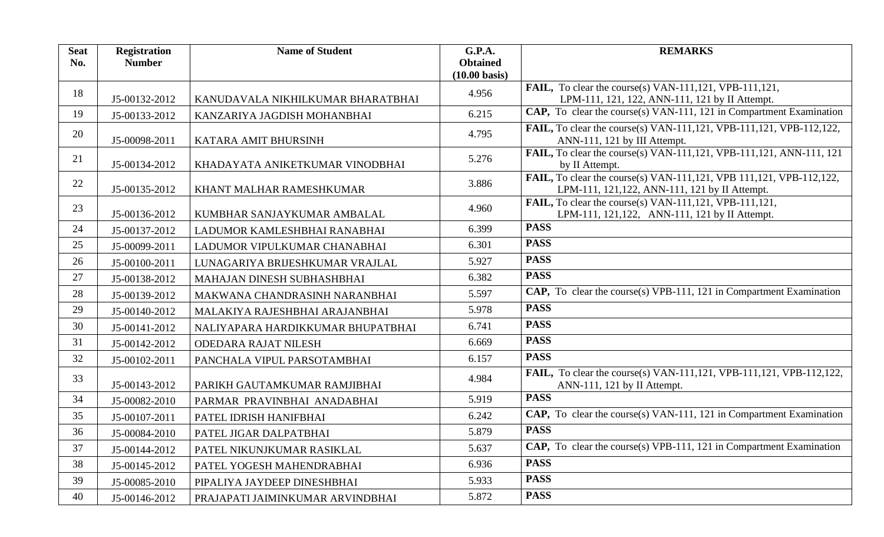| <b>Seat</b> | <b>Registration</b> | <b>Name of Student</b>            | G.P.A.                  | <b>REMARKS</b>                                                                                                        |
|-------------|---------------------|-----------------------------------|-------------------------|-----------------------------------------------------------------------------------------------------------------------|
| No.         | <b>Number</b>       |                                   | <b>Obtained</b>         |                                                                                                                       |
|             |                     |                                   | $(10.00 \text{ basis})$ |                                                                                                                       |
| 18          | J5-00132-2012       | KANUDAVALA NIKHILKUMAR BHARATBHAI | 4.956                   | FAIL, To clear the course(s) VAN-111,121, VPB-111,121,<br>LPM-111, 121, 122, ANN-111, 121 by II Attempt.              |
| 19          | J5-00133-2012       | KANZARIYA JAGDISH MOHANBHAI       | 6.215                   | CAP, To clear the course(s) VAN-111, 121 in Compartment Examination                                                   |
| 20          | J5-00098-2011       | KATARA AMIT BHURSINH              | 4.795                   | <b>FAIL,</b> To clear the course(s) VAN-111,121, VPB-111,121, VPB-112,122,<br>ANN-111, 121 by III Attempt.            |
| 21          | J5-00134-2012       | KHADAYATA ANIKETKUMAR VINODBHAI   | 5.276                   | FAIL, To clear the course(s) VAN-111,121, VPB-111,121, ANN-111, 121<br>by II Attempt.                                 |
| 22          | J5-00135-2012       | KHANT MALHAR RAMESHKUMAR          | 3.886                   | FAIL, To clear the course(s) VAN-111,121, VPB 111,121, VPB-112,122,<br>LPM-111, 121, 122, ANN-111, 121 by II Attempt. |
| 23          | J5-00136-2012       | KUMBHAR SANJAYKUMAR AMBALAL       | 4.960                   | FAIL, To clear the course(s) VAN-111,121, VPB-111,121,<br>LPM-111, 121, 122, ANN-111, 121 by II Attempt.              |
| 24          | J5-00137-2012       | LADUMOR KAMLESHBHAI RANABHAI      | 6.399                   | <b>PASS</b>                                                                                                           |
| 25          | J5-00099-2011       | LADUMOR VIPULKUMAR CHANABHAI      | 6.301                   | <b>PASS</b>                                                                                                           |
| 26          | J5-00100-2011       | LUNAGARIYA BRIJESHKUMAR VRAJLAL   | 5.927                   | <b>PASS</b>                                                                                                           |
| 27          | J5-00138-2012       | MAHAJAN DINESH SUBHASHBHAI        | 6.382                   | <b>PASS</b>                                                                                                           |
| 28          | J5-00139-2012       | MAKWANA CHANDRASINH NARANBHAI     | 5.597                   | CAP, To clear the course(s) VPB-111, 121 in Compartment Examination                                                   |
| 29          | J5-00140-2012       | MALAKIYA RAJESHBHAI ARAJANBHAI    | 5.978                   | <b>PASS</b>                                                                                                           |
| 30          | J5-00141-2012       | NALIYAPARA HARDIKKUMAR BHUPATBHAI | 6.741                   | <b>PASS</b>                                                                                                           |
| 31          | J5-00142-2012       | <b>ODEDARA RAJAT NILESH</b>       | 6.669                   | <b>PASS</b>                                                                                                           |
| 32          | J5-00102-2011       | PANCHALA VIPUL PARSOTAMBHAI       | 6.157                   | <b>PASS</b>                                                                                                           |
| 33          | J5-00143-2012       | PARIKH GAUTAMKUMAR RAMJIBHAI      | 4.984                   | FAIL, To clear the course(s) VAN-111,121, VPB-111,121, VPB-112,122,<br>ANN-111, 121 by II Attempt.                    |
| 34          | J5-00082-2010       | PARMAR PRAVINBHAI ANADABHAI       | 5.919                   | <b>PASS</b>                                                                                                           |
| 35          | J5-00107-2011       | PATEL IDRISH HANIFBHAI            | 6.242                   | <b>CAP,</b> To clear the course(s) VAN-111, 121 in Compartment Examination                                            |
| 36          | J5-00084-2010       | PATEL JIGAR DALPATBHAI            | 5.879                   | <b>PASS</b>                                                                                                           |
| 37          | J5-00144-2012       | PATEL NIKUNJKUMAR RASIKLAL        | 5.637                   | <b>CAP,</b> To clear the course(s) VPB-111, 121 in Compartment Examination                                            |
| 38          | J5-00145-2012       | PATEL YOGESH MAHENDRABHAI         | 6.936                   | <b>PASS</b>                                                                                                           |
| 39          | J5-00085-2010       | PIPALIYA JAYDEEP DINESHBHAI       | 5.933                   | <b>PASS</b>                                                                                                           |
| 40          | J5-00146-2012       | PRAJAPATI JAIMINKUMAR ARVINDBHAI  | 5.872                   | <b>PASS</b>                                                                                                           |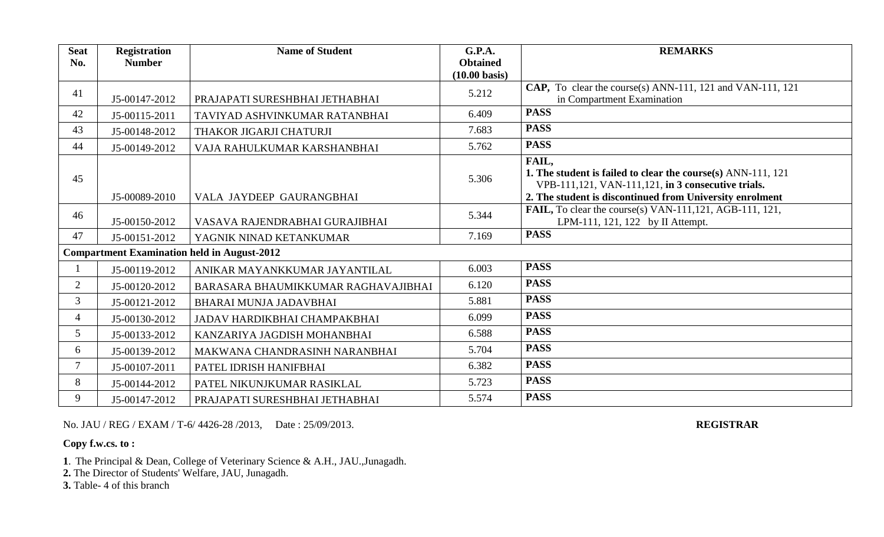| <b>Seat</b><br>No. | <b>Registration</b><br><b>Number</b> | <b>Name of Student</b>                             | <b>G.P.A.</b><br><b>Obtained</b><br>$(10.00 \text{ basis})$ | <b>REMARKS</b>                                                                                                                                                                          |
|--------------------|--------------------------------------|----------------------------------------------------|-------------------------------------------------------------|-----------------------------------------------------------------------------------------------------------------------------------------------------------------------------------------|
| 41                 | J5-00147-2012                        | PRAJAPATI SURESHBHAI JETHABHAI                     | 5.212                                                       | CAP, To clear the course(s) ANN-111, 121 and VAN-111, 121<br>in Compartment Examination                                                                                                 |
| 42                 | J5-00115-2011                        | TAVIYAD ASHVINKUMAR RATANBHAI                      | 6.409                                                       | <b>PASS</b>                                                                                                                                                                             |
| 43                 | J5-00148-2012                        | THAKOR JIGARJI CHATURJI                            | 7.683                                                       | <b>PASS</b>                                                                                                                                                                             |
| 44                 | J5-00149-2012                        | VAJA RAHULKUMAR KARSHANBHAI                        | 5.762                                                       | <b>PASS</b>                                                                                                                                                                             |
| 45                 | J5-00089-2010                        | VALA JAYDEEP GAURANGBHAI                           | 5.306                                                       | FAIL,<br>1. The student is failed to clear the course(s) ANN-111, 121<br>VPB-111,121, VAN-111,121, in 3 consecutive trials.<br>2. The student is discontinued from University enrolment |
| 46                 | J5-00150-2012                        | VASAVA RAJENDRABHAI GURAJIBHAI                     | 5.344                                                       | <b>FAIL,</b> To clear the course(s) VAN-111, 121, AGB-111, 121,<br>LPM-111, 121, 122 by II Attempt.                                                                                     |
| 47                 | J5-00151-2012                        | YAGNIK NINAD KETANKUMAR                            | 7.169                                                       | <b>PASS</b>                                                                                                                                                                             |
|                    |                                      | <b>Compartment Examination held in August-2012</b> |                                                             |                                                                                                                                                                                         |
|                    | J5-00119-2012                        | ANIKAR MAYANKKUMAR JAYANTILAL                      | 6.003                                                       | <b>PASS</b>                                                                                                                                                                             |
| 2                  | J5-00120-2012                        | BARASARA BHAUMIKKUMAR RAGHAVAJIBHAI                | 6.120                                                       | <b>PASS</b>                                                                                                                                                                             |
| $\overline{3}$     | J5-00121-2012                        | BHARAI MUNJA JADAVBHAI                             | 5.881                                                       | <b>PASS</b>                                                                                                                                                                             |
| $\overline{4}$     | J5-00130-2012                        | JADAV HARDIKBHAI CHAMPAKBHAI                       | 6.099                                                       | <b>PASS</b>                                                                                                                                                                             |
| 5 <sup>5</sup>     | J5-00133-2012                        | KANZARIYA JAGDISH MOHANBHAI                        | 6.588                                                       | <b>PASS</b>                                                                                                                                                                             |
| 6                  | J5-00139-2012                        | MAKWANA CHANDRASINH NARANBHAI                      | 5.704                                                       | <b>PASS</b>                                                                                                                                                                             |
| $\tau$             | J5-00107-2011                        | PATEL IDRISH HANIFBHAI                             | 6.382                                                       | <b>PASS</b>                                                                                                                                                                             |
| 8                  | J5-00144-2012                        | PATEL NIKUNJKUMAR RASIKLAL                         | 5.723                                                       | <b>PASS</b>                                                                                                                                                                             |
| 9                  | J5-00147-2012                        | PRAJAPATI SURESHBHAI JETHABHAI                     | 5.574                                                       | <b>PASS</b>                                                                                                                                                                             |

No. JAU / REG / EXAM / T-6/ 4426-28 /2013, Date : 25/09/2013. **REGISTRAR**

## **Copy f.w.cs. to :**

- **1**. The Principal & Dean, College of Veterinary Science & A.H., JAU.,Junagadh.
- **2.** The Director of Students' Welfare, JAU, Junagadh.
- **3.** Table- 4 of this branch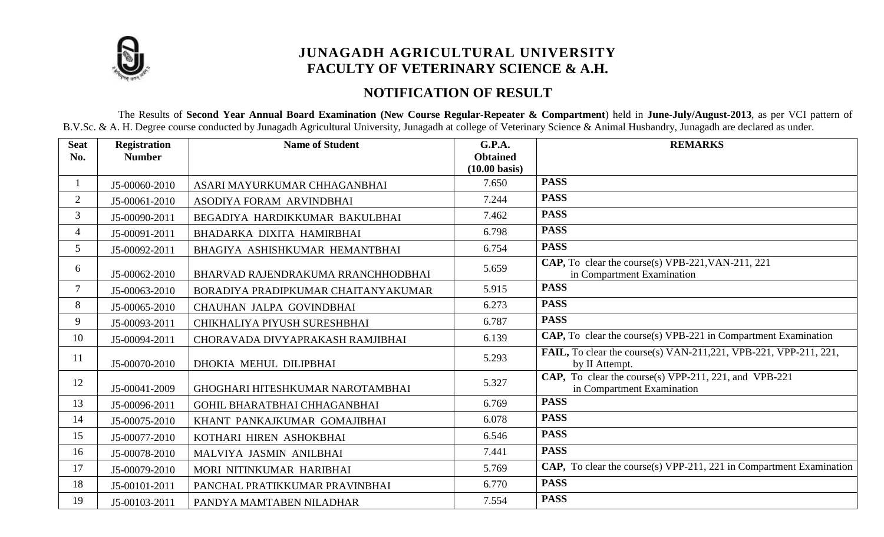

# **JUNAGADH AGRICULTURAL UNIVERSITY FACULTY OF VETERINARY SCIENCE & A.H.**

## **NOTIFICATION OF RESULT**

 The Results of **Second Year Annual Board Examination (New Course Regular-Repeater & Compartment**) held in **June-July/August-2013**, as per VCI pattern of B.V.Sc. & A. H. Degree course conducted by Junagadh Agricultural University, Junagadh at college of Veterinary Science & Animal Husbandry, Junagadh are declared as under.

| <b>Seat</b>    | <b>Registration</b> | <b>Name of Student</b>              | <b>G.P.A.</b>           | <b>REMARKS</b>                                                                      |
|----------------|---------------------|-------------------------------------|-------------------------|-------------------------------------------------------------------------------------|
| No.            | <b>Number</b>       |                                     | <b>Obtained</b>         |                                                                                     |
|                |                     |                                     | $(10.00 \text{ basis})$ |                                                                                     |
|                | J5-00060-2010       | ASARI MAYURKUMAR CHHAGANBHAI        | 7.650                   | <b>PASS</b>                                                                         |
| 2              | J5-00061-2010       | ASODIYA FORAM ARVINDBHAI            | 7.244                   | <b>PASS</b>                                                                         |
| 3              | J5-00090-2011       | BEGADIYA HARDIKKUMAR BAKULBHAI      | 7.462                   | <b>PASS</b>                                                                         |
| $\overline{4}$ | J5-00091-2011       | BHADARKA DIXITA HAMIRBHAI           | 6.798                   | <b>PASS</b>                                                                         |
| 5              | J5-00092-2011       | BHAGIYA ASHISHKUMAR HEMANTBHAI      | 6.754                   | <b>PASS</b>                                                                         |
| 6              | J5-00062-2010       | BHARVAD RAJENDRAKUMA RRANCHHODBHAI  | 5.659                   | CAP, To clear the course(s) VPB-221, VAN-211, 221<br>in Compartment Examination     |
| $\tau$         | J5-00063-2010       | BORADIYA PRADIPKUMAR CHAITANYAKUMAR | 5.915                   | <b>PASS</b>                                                                         |
| 8              | J5-00065-2010       | CHAUHAN JALPA GOVINDBHAI            | 6.273                   | <b>PASS</b>                                                                         |
| 9              | J5-00093-2011       | CHIKHALIYA PIYUSH SURESHBHAI        | 6.787                   | <b>PASS</b>                                                                         |
| 10             | J5-00094-2011       | CHORAVADA DIVYAPRAKASH RAMJIBHAI    | 6.139                   | $CAP, To clear the course(s) VPB-221 in compartment Examination$                    |
| 11             | J5-00070-2010       | DHOKIA MEHUL DILIPBHAI              | 5.293                   | FAIL, To clear the course(s) VAN-211, 221, VPB-221, VPP-211, 221,<br>by II Attempt. |
| 12             | J5-00041-2009       | GHOGHARI HITESHKUMAR NAROTAMBHAI    | 5.327                   | CAP, To clear the course(s) VPP-211, 221, and VPB-221<br>in Compartment Examination |
| 13             | J5-00096-2011       | GOHIL BHARATBHAI CHHAGANBHAI        | 6.769                   | <b>PASS</b>                                                                         |
| 14             | J5-00075-2010       | KHANT PANKAJKUMAR GOMAJIBHAI        | 6.078                   | <b>PASS</b>                                                                         |
| 15             | J5-00077-2010       | KOTHARI HIREN ASHOKBHAI             | 6.546                   | <b>PASS</b>                                                                         |
| 16             | J5-00078-2010       | MALVIYA JASMIN ANILBHAI             | 7.441                   | <b>PASS</b>                                                                         |
| 17             | J5-00079-2010       | MORI NITINKUMAR HARIBHAI            | 5.769                   | CAP, To clear the course(s) VPP-211, 221 in Compartment Examination                 |
| 18             | J5-00101-2011       | PANCHAL PRATIKKUMAR PRAVINBHAI      | 6.770                   | <b>PASS</b>                                                                         |
| 19             | J5-00103-2011       | PANDYA MAMTABEN NILADHAR            | 7.554                   | <b>PASS</b>                                                                         |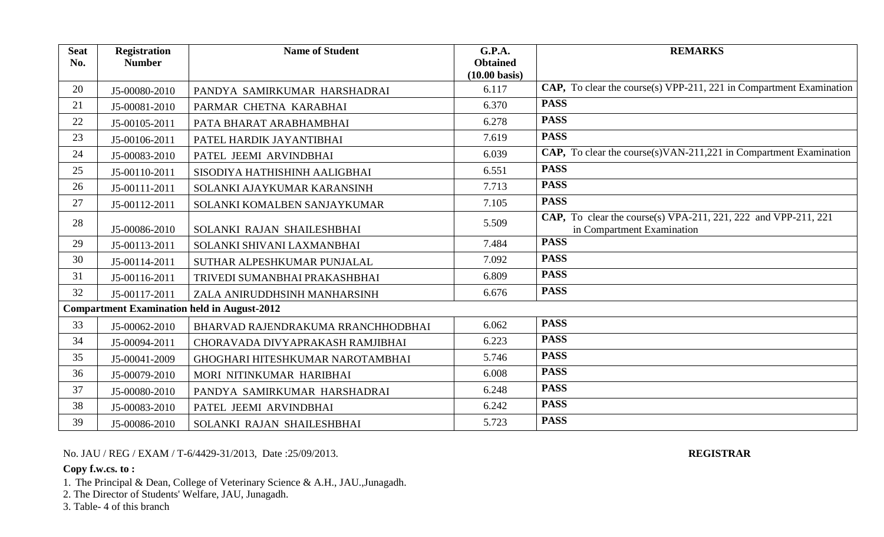| <b>Seat</b><br>No. | <b>Registration</b><br><b>Number</b> | <b>Name of Student</b>                             | <b>G.P.A.</b><br><b>Obtained</b><br>$(10.00 \text{ basis})$ | <b>REMARKS</b>                                                                               |
|--------------------|--------------------------------------|----------------------------------------------------|-------------------------------------------------------------|----------------------------------------------------------------------------------------------|
| 20                 | J5-00080-2010                        | PANDYA SAMIRKUMAR HARSHADRAI                       | 6.117                                                       | <b>CAP,</b> To clear the course(s) VPP-211, 221 in Compartment Examination                   |
| 21                 | J5-00081-2010                        | PARMAR CHETNA KARABHAI                             | 6.370                                                       | <b>PASS</b>                                                                                  |
| 22                 | J5-00105-2011                        | PATA BHARAT ARABHAMBHAI                            | 6.278                                                       | <b>PASS</b>                                                                                  |
| 23                 | J5-00106-2011                        | PATEL HARDIK JAYANTIBHAI                           | 7.619                                                       | <b>PASS</b>                                                                                  |
| 24                 | J5-00083-2010                        | PATEL JEEMI ARVINDBHAI                             | 6.039                                                       | CAP, To clear the course(s)VAN-211,221 in Compartment Examination                            |
| 25                 | J5-00110-2011                        | SISODIYA HATHISHINH AALIGBHAI                      | 6.551                                                       | <b>PASS</b>                                                                                  |
| 26                 | J5-00111-2011                        | SOLANKI AJAYKUMAR KARANSINH                        | 7.713                                                       | <b>PASS</b>                                                                                  |
| 27                 | J5-00112-2011                        | SOLANKI KOMALBEN SANJAYKUMAR                       | 7.105                                                       | <b>PASS</b>                                                                                  |
| 28                 | J5-00086-2010                        | SOLANKI RAJAN SHAILESHBHAI                         | 5.509                                                       | CAP, To clear the course(s) VPA-211, 221, 222 and VPP-211, 221<br>in Compartment Examination |
| 29                 | J5-00113-2011                        | SOLANKI SHIVANI LAXMANBHAI                         | 7.484                                                       | <b>PASS</b>                                                                                  |
| 30                 | J5-00114-2011                        | SUTHAR ALPESHKUMAR PUNJALAL                        | 7.092                                                       | <b>PASS</b>                                                                                  |
| 31                 | J5-00116-2011                        | TRIVEDI SUMANBHAI PRAKASHBHAI                      | 6.809                                                       | <b>PASS</b>                                                                                  |
| 32                 | J5-00117-2011                        | ZALA ANIRUDDHSINH MANHARSINH                       | 6.676                                                       | <b>PASS</b>                                                                                  |
|                    |                                      | <b>Compartment Examination held in August-2012</b> |                                                             |                                                                                              |
| 33                 | J5-00062-2010                        | BHARVAD RAJENDRAKUMA RRANCHHODBHAI                 | 6.062                                                       | <b>PASS</b>                                                                                  |
| 34                 | J5-00094-2011                        | CHORAVADA DIVYAPRAKASH RAMJIBHAI                   | 6.223                                                       | <b>PASS</b>                                                                                  |
| 35                 | J5-00041-2009                        | GHOGHARI HITESHKUMAR NAROTAMBHAI                   | 5.746                                                       | <b>PASS</b>                                                                                  |
| 36                 | J5-00079-2010                        | MORI NITINKUMAR HARIBHAI                           | 6.008                                                       | <b>PASS</b>                                                                                  |
| 37                 | J5-00080-2010                        | PANDYA SAMIRKUMAR HARSHADRAI                       | 6.248                                                       | <b>PASS</b>                                                                                  |
| 38                 | J5-00083-2010                        | PATEL JEEMI ARVINDBHAI                             | 6.242                                                       | <b>PASS</b>                                                                                  |
| 39                 | J5-00086-2010                        | SOLANKI RAJAN SHAILESHBHAI                         | 5.723                                                       | <b>PASS</b>                                                                                  |

No. JAU / REG / EXAM / T-6/4429-31/2013, Date :25/09/2013. **REGISTRAR**

## **Copy f.w.cs. to :**

1. The Principal & Dean, College of Veterinary Science & A.H., JAU.,Junagadh.

2. The Director of Students' Welfare, JAU, Junagadh.

3. Table- 4 of this branch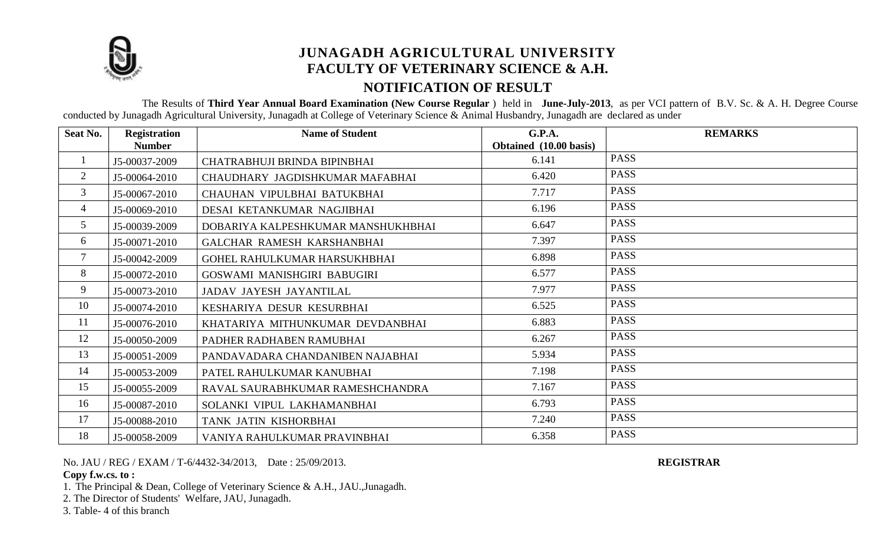

# **JUNAGADH AGRICULTURAL UNIVERSITY FACULTY OF VETERINARY SCIENCE & A.H. NOTIFICATION OF RESULT**

 The Results of **Third Year Annual Board Examination (New Course Regular** ) held in **June-July-2013**, as per VCI pattern of B.V. Sc. & A. H. Degree Course conducted by Junagadh Agricultural University, Junagadh at College of Veterinary Science & Animal Husbandry, Junagadh are declared as under

| Seat No.       | <b>Registration</b> | <b>Name of Student</b>              | G.P.A.                 | <b>REMARKS</b> |
|----------------|---------------------|-------------------------------------|------------------------|----------------|
|                | <b>Number</b>       |                                     | Obtained (10.00 basis) |                |
| $\perp$        | J5-00037-2009       | CHATRABHUJI BRINDA BIPINBHAI        | 6.141                  | <b>PASS</b>    |
| $\overline{2}$ | J5-00064-2010       | CHAUDHARY JAGDISHKUMAR MAFABHAI     | 6.420                  | <b>PASS</b>    |
| $\mathfrak{Z}$ | J5-00067-2010       | CHAUHAN VIPULBHAI BATUKBHAI         | 7.717                  | <b>PASS</b>    |
| 4              | J5-00069-2010       | DESAI KETANKUMAR NAGJIBHAI          | 6.196                  | <b>PASS</b>    |
| 5              | J5-00039-2009       | DOBARIYA KALPESHKUMAR MANSHUKHBHAI  | 6.647                  | <b>PASS</b>    |
| 6              | J5-00071-2010       | GALCHAR RAMESH KARSHANBHAI          | 7.397                  | <b>PASS</b>    |
| $\tau$         | J5-00042-2009       | <b>GOHEL RAHULKUMAR HARSUKHBHAI</b> | 6.898                  | <b>PASS</b>    |
| 8              | J5-00072-2010       | GOSWAMI MANISHGIRI BABUGIRI         | 6.577                  | <b>PASS</b>    |
| 9              | J5-00073-2010       | JADAV JAYESH JAYANTILAL             | 7.977                  | <b>PASS</b>    |
| 10             | J5-00074-2010       | KESHARIYA DESUR KESURBHAI           | 6.525                  | <b>PASS</b>    |
| 11             | J5-00076-2010       | KHATARIYA MITHUNKUMAR DEVDANBHAI    | 6.883                  | <b>PASS</b>    |
| 12             | J5-00050-2009       | PADHER RADHABEN RAMUBHAI            | 6.267                  | <b>PASS</b>    |
| 13             | J5-00051-2009       | PANDAVADARA CHANDANIBEN NAJABHAI    | 5.934                  | <b>PASS</b>    |
| 14             | J5-00053-2009       | PATEL RAHULKUMAR KANUBHAI           | 7.198                  | <b>PASS</b>    |
| 15             | J5-00055-2009       | RAVAL SAURABHKUMAR RAMESHCHANDRA    | 7.167                  | <b>PASS</b>    |
| 16             | J5-00087-2010       | SOLANKI VIPUL LAKHAMANBHAI          | 6.793                  | <b>PASS</b>    |
| 17             | J5-00088-2010       | TANK JATIN KISHORBHAI               | 7.240                  | <b>PASS</b>    |
| 18             | J5-00058-2009       | VANIYA RAHULKUMAR PRAVINBHAI        | 6.358                  | <b>PASS</b>    |

No. JAU / REG / EXAM / T-6/4432-34/2013, Date : 25/09/2013. **REGISTRAR**

## **Copy f.w.cs. to :**

1. The Principal & Dean, College of Veterinary Science & A.H., JAU.,Junagadh.

2. The Director of Students' Welfare, JAU, Junagadh.

3. Table- 4 of this branch